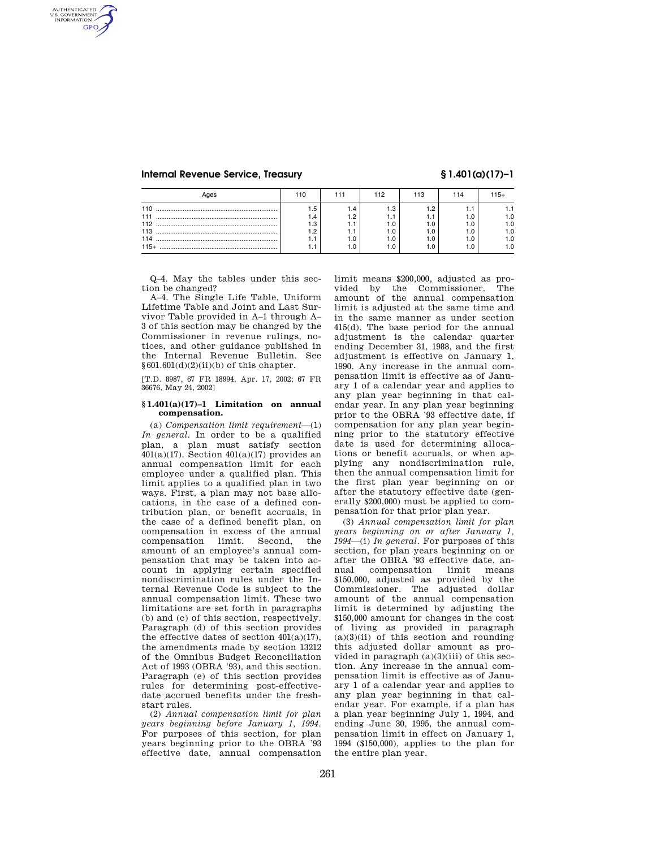AUTHENTICATED<br>U.S. GOVERNMENT<br>INFORMATION **GPO** 

|            |    | 112 | 14 | $15+$ |
|------------|----|-----|----|-------|
| 110        | .5 |     |    |       |
| 111<br>112 |    |     |    |       |
| 113<br>114 |    |     |    |       |
| $115+$     |    |     |    |       |

Q–4. May the tables under this section be changed?

A–4. The Single Life Table, Uniform Lifetime Table and Joint and Last Survivor Table provided in A–1 through A– 3 of this section may be changed by the Commissioner in revenue rulings, notices, and other guidance published in the Internal Revenue Bulletin. See  $§601.601(d)(2)(ii)(b)$  of this chapter.

[T.D. 8987, 67 FR 18994, Apr. 17, 2002; 67 FR 36676, May 24, 2002]

### **§ 1.401(a)(17)–1 Limitation on annual compensation.**

(a) *Compensation limit requirement*—(1) *In general.* In order to be a qualified plan, a plan must satisfy section  $401(a)(17)$ . Section  $401(a)(17)$  provides an annual compensation limit for each employee under a qualified plan. This limit applies to a qualified plan in two ways. First, a plan may not base allocations, in the case of a defined contribution plan, or benefit accruals, in the case of a defined benefit plan, on compensation in excess of the annual compensation limit. Second, the amount of an employee's annual compensation that may be taken into account in applying certain specified nondiscrimination rules under the Internal Revenue Code is subject to the annual compensation limit. These two limitations are set forth in paragraphs (b) and (c) of this section, respectively. Paragraph (d) of this section provides the effective dates of section  $401(a)(17)$ , the amendments made by section 13212 of the Omnibus Budget Reconciliation Act of 1993 (OBRA '93), and this section. Paragraph (e) of this section provides rules for determining post-effectivedate accrued benefits under the freshstart rules.

(2) *Annual compensation limit for plan years beginning before January 1, 1994.*  For purposes of this section, for plan years beginning prior to the OBRA '93 effective date, annual compensation limit means \$200,000, adjusted as provided by the Commissioner. The amount of the annual compensation limit is adjusted at the same time and in the same manner as under section 415(d). The base period for the annual adjustment is the calendar quarter ending December 31, 1988, and the first adjustment is effective on January 1, 1990. Any increase in the annual compensation limit is effective as of January 1 of a calendar year and applies to any plan year beginning in that calendar year. In any plan year beginning prior to the OBRA '93 effective date, if compensation for any plan year beginning prior to the statutory effective date is used for determining allocations or benefit accruals, or when applying any nondiscrimination rule, then the annual compensation limit for the first plan year beginning on or after the statutory effective date (generally \$200,000) must be applied to compensation for that prior plan year.

(3) *Annual compensation limit for plan years beginning on or after January 1, 1994*—(i) *In general.* For purposes of this section, for plan years beginning on or after the OBRA '93 effective date, annual compensation limit means \$150,000, adjusted as provided by the Commissioner. The adjusted dollar amount of the annual compensation limit is determined by adjusting the \$150,000 amount for changes in the cost of living as provided in paragraph  $(a)(3)(ii)$  of this section and rounding this adjusted dollar amount as provided in paragraph (a)(3)(iii) of this section. Any increase in the annual compensation limit is effective as of January 1 of a calendar year and applies to any plan year beginning in that calendar year. For example, if a plan has a plan year beginning July 1, 1994, and ending June 30, 1995, the annual compensation limit in effect on January 1, 1994 (\$150,000), applies to the plan for the entire plan year.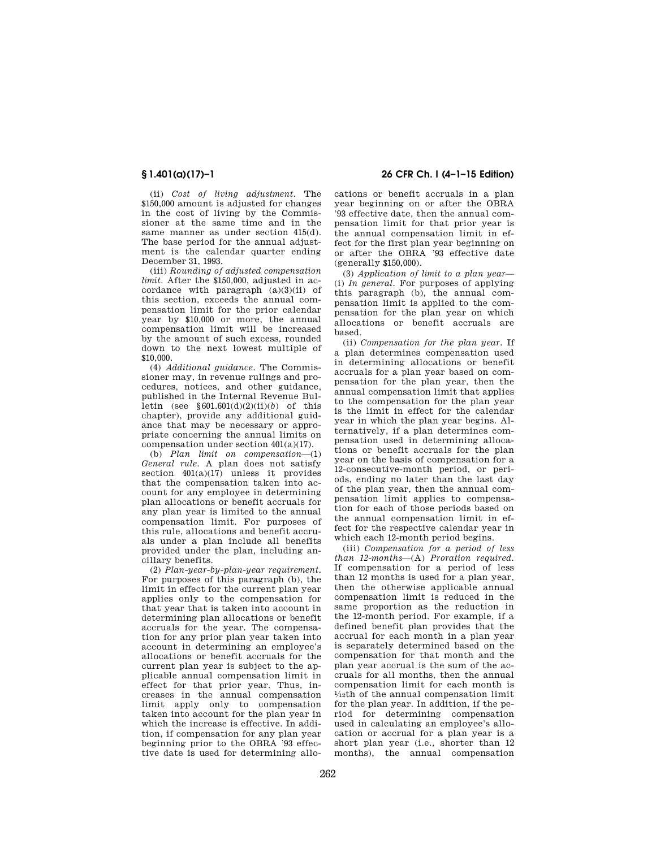(ii) *Cost of living adjustment.* The \$150,000 amount is adjusted for changes in the cost of living by the Commissioner at the same time and in the same manner as under section 415(d). The base period for the annual adjustment is the calendar quarter ending December 31, 1993.

(iii) *Rounding of adjusted compensation limit.* After the \$150,000, adjusted in accordance with paragraph  $(a)(3)(ii)$  of this section, exceeds the annual compensation limit for the prior calendar year by \$10,000 or more, the annual compensation limit will be increased by the amount of such excess, rounded down to the next lowest multiple of \$10,000.

(4) *Additional guidance.* The Commissioner may, in revenue rulings and procedures, notices, and other guidance, published in the Internal Revenue Bulletin (see §601.601(d)(2)(ii)(*b*) of this chapter), provide any additional guidance that may be necessary or appropriate concerning the annual limits on compensation under section 401(a)(17).

(b) *Plan limit on compensation*—(1) *General rule.* A plan does not satisfy section  $401(a)(17)$  unless it provides that the compensation taken into account for any employee in determining plan allocations or benefit accruals for any plan year is limited to the annual compensation limit. For purposes of this rule, allocations and benefit accruals under a plan include all benefits provided under the plan, including ancillary benefits.

(2) *Plan-year-by-plan-year requirement.*  For purposes of this paragraph (b), the limit in effect for the current plan year applies only to the compensation for that year that is taken into account in determining plan allocations or benefit accruals for the year. The compensation for any prior plan year taken into account in determining an employee's allocations or benefit accruals for the current plan year is subject to the applicable annual compensation limit in effect for that prior year. Thus, increases in the annual compensation limit apply only to compensation taken into account for the plan year in which the increase is effective. In addition, if compensation for any plan year beginning prior to the OBRA '93 effective date is used for determining allo-

# **§ 1.401(a)(17)–1 26 CFR Ch. I (4–1–15 Edition)**

cations or benefit accruals in a plan year beginning on or after the OBRA '93 effective date, then the annual compensation limit for that prior year is the annual compensation limit in effect for the first plan year beginning on or after the OBRA '93 effective date (generally \$150,000).

(3) *Application of limit to a plan year*— (i) *In general.* For purposes of applying this paragraph (b), the annual compensation limit is applied to the compensation for the plan year on which allocations or benefit accruals are based.

(ii) *Compensation for the plan year.* If a plan determines compensation used in determining allocations or benefit accruals for a plan year based on compensation for the plan year, then the annual compensation limit that applies to the compensation for the plan year is the limit in effect for the calendar year in which the plan year begins. Alternatively, if a plan determines compensation used in determining allocations or benefit accruals for the plan year on the basis of compensation for a 12-consecutive-month period, or periods, ending no later than the last day of the plan year, then the annual compensation limit applies to compensation for each of those periods based on the annual compensation limit in effect for the respective calendar year in which each 12-month period begins.

(iii) *Compensation for a period of less than 12-months*—(A) *Proration required.*  If compensation for a period of less than 12 months is used for a plan year, then the otherwise applicable annual compensation limit is reduced in the same proportion as the reduction in the 12-month period. For example, if a defined benefit plan provides that the accrual for each month in a plan year is separately determined based on the compensation for that month and the plan year accrual is the sum of the accruals for all months, then the annual compensation limit for each month is 1⁄12th of the annual compensation limit for the plan year. In addition, if the period for determining compensation used in calculating an employee's allocation or accrual for a plan year is a short plan year (i.e., shorter than 12 months), the annual compensation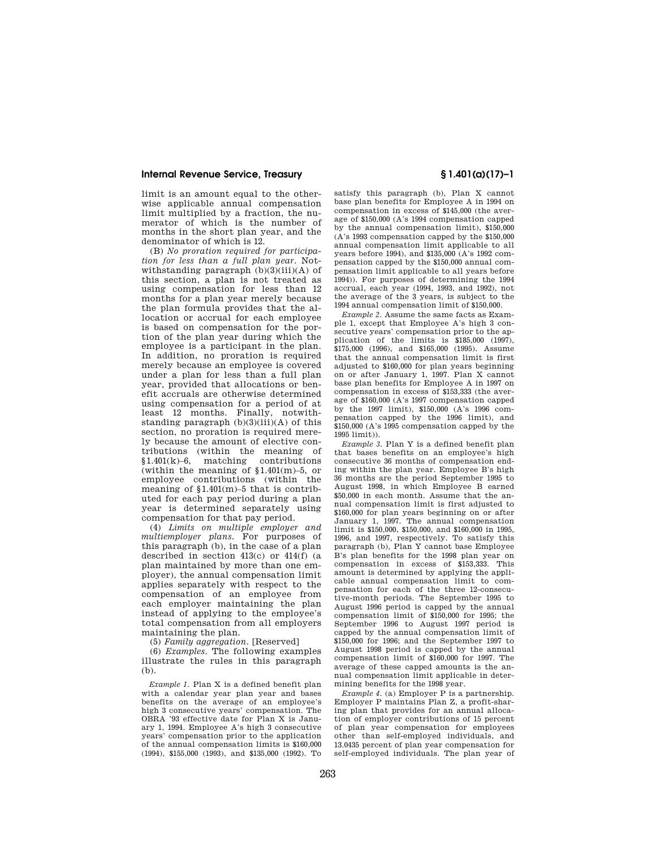limit is an amount equal to the otherwise applicable annual compensation limit multiplied by a fraction, the numerator of which is the number of months in the short plan year, and the denominator of which is 12.

(B) *No proration required for participation for less than a full plan year.* Notwithstanding paragraph  $(b)(3)(iii)(A)$  of this section, a plan is not treated as using compensation for less than 12 months for a plan year merely because the plan formula provides that the allocation or accrual for each employee is based on compensation for the portion of the plan year during which the employee is a participant in the plan. In addition, no proration is required merely because an employee is covered under a plan for less than a full plan year, provided that allocations or benefit accruals are otherwise determined using compensation for a period of at least 12 months. Finally, notwithstanding paragraph (b)(3)(iii)(A) of this section, no proration is required merely because the amount of elective contributions (within the meaning of §1.401(k)–6, matching contributions (within the meaning of  $$1.401(m)-5$ , or employee contributions (within the meaning of  $$1.401(m)-5$  that is contributed for each pay period during a plan year is determined separately using compensation for that pay period.

(4) *Limits on multiple employer and multiemployer plans.* For purposes of this paragraph (b), in the case of a plan described in section 413(c) or 414(f) (a plan maintained by more than one employer), the annual compensation limit applies separately with respect to the compensation of an employee from each employer maintaining the plan instead of applying to the employee's total compensation from all employers maintaining the plan.

(5) *Family aggregation.* [Reserved]

(6) *Examples.* The following examples illustrate the rules in this paragraph (b).

*Example 1.* Plan X is a defined benefit plan with a calendar year plan year and bases benefits on the average of an employee's high 3 consecutive years' compensation. The OBRA '93 effective date for Plan X is January 1, 1994. Employee A's high 3 consecutive years' compensation prior to the application of the annual compensation limits is \$160,000 (1994), \$155,000 (1993), and \$135,000 (1992). To

satisfy this paragraph (b), Plan X cannot base plan benefits for Employee A in 1994 on compensation in excess of \$145,000 (the average of \$150,000 (A's 1994 compensation capped by the annual compensation limit), \$150,000 (A's 1993 compensation capped by the \$150,000 annual compensation limit applicable to all years before 1994), and \$135,000 (A's 1992 compensation capped by the \$150,000 annual compensation limit applicable to all years before 1994)). For purposes of determining the 1994 accrual, each year (1994, 1993, and 1992), not the average of the 3 years, is subject to the 1994 annual compensation limit of \$150,000.

*Example 2.* Assume the same facts as Example 1, except that Employee A's high 3 consecutive years' compensation prior to the application of the limits is \$185,000 (1997), \$175,000 (1996), and \$165,000 (1995). Assume that the annual compensation limit is first adjusted to \$160,000 for plan years beginning on or after January 1, 1997. Plan X cannot base plan benefits for Employee A in 1997 on compensation in excess of \$153,333 (the average of \$160,000 (A's 1997 compensation capped by the 1997 limit), \$150,000 (A's 1996 compensation capped by the 1996 limit), and \$150,000 (A's 1995 compensation capped by the 1995 limit)).

*Example 3.* Plan Y is a defined benefit plan that bases benefits on an employee's high consecutive 36 months of compensation ending within the plan year. Employee B's high 36 months are the period September 1995 to August 1998, in which Employee B earned \$50,000 in each month. Assume that the annual compensation limit is first adjusted to \$160,000 for plan years beginning on or after January 1, 1997. The annual compensation limit is \$150,000, \$150,000, and \$160,000 in 1995, 1996, and 1997, respectively. To satisfy this paragraph (b), Plan Y cannot base Employee B's plan benefits for the 1998 plan year on compensation in excess of \$153,333. This amount is determined by applying the applicable annual compensation limit to compensation for each of the three 12-consecutive-month periods. The September 1995 to August 1996 period is capped by the annual compensation limit of \$150,000 for 1995; the September 1996 to August 1997 period is capped by the annual compensation limit of \$150,000 for 1996; and the September 1997 to August 1998 period is capped by the annual compensation limit of \$160,000 for 1997. The average of these capped amounts is the annual compensation limit applicable in determining benefits for the 1998 year.

*Example 4.* (a) Employer P is a partnership. Employer P maintains Plan Z, a profit-sharing plan that provides for an annual allocation of employer contributions of 15 percent of plan year compensation for employees other than self-employed individuals, and 13.0435 percent of plan year compensation for self-employed individuals. The plan year of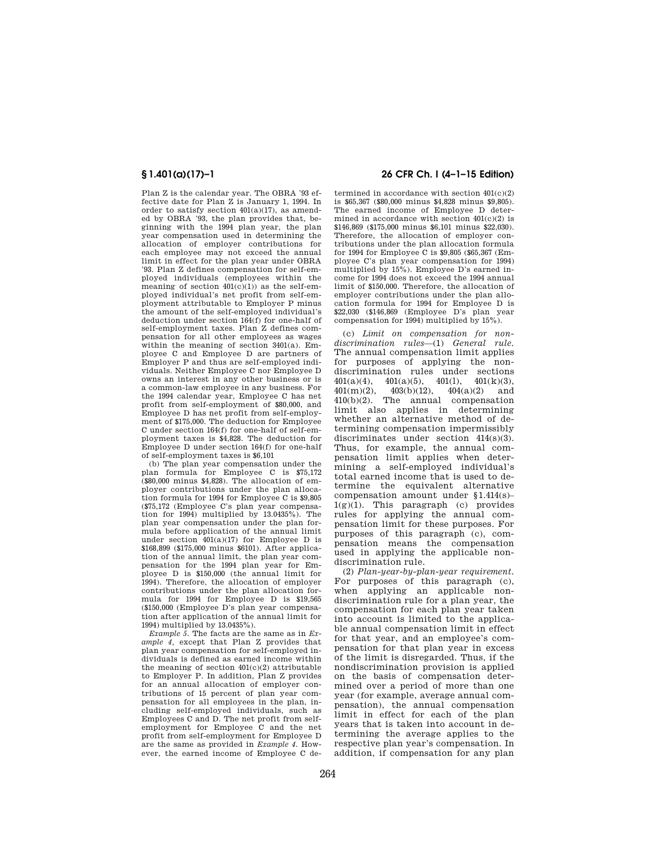Plan Z is the calendar year. The OBRA '93 effective date for Plan Z is January 1, 1994. In order to satisfy section  $401(a)(17)$ , as amended by OBRA '93, the plan provides that, beginning with the 1994 plan year, the plan year compensation used in determining the allocation of employer contributions for each employee may not exceed the annual limit in effect for the plan year under OBRA '93. Plan Z defines compensation for self-employed individuals (employees within the meaning of section  $401(c)(1)$  as the self-employed individual's net profit from self-employment attributable to Employer P minus the amount of the self-employed individual's deduction under section 164(f) for one-half of self-employment taxes. Plan Z defines compensation for all other employees as wages within the meaning of section 3401(a). Employee C and Employee D are partners of Employer P and thus are self-employed individuals. Neither Employee C nor Employee D owns an interest in any other business or is a common-law employee in any business. For the 1994 calendar year, Employee C has net profit from self-employment of \$80,000, and Employee D has net profit from self-employment of \$175,000. The deduction for Employee C under section 164(f) for one-half of self-employment taxes is \$4,828. The deduction for Employee D under section 164(f) for one-half of self-employment taxes is \$6,101

(b) The plan year compensation under the plan formula for Employee C is \$75,172 (\$80,000 minus \$4,828). The allocation of employer contributions under the plan allocation formula for 1994 for Employee C is \$9,805 (\$75,172 (Employee C's plan year compensation for 1994) multiplied by 13.0435%). The plan year compensation under the plan formula before application of the annual limit under section 401(a)(17) for Employee D is \$168,899 (\$175,000 minus \$6101). After application of the annual limit, the plan year compensation for the 1994 plan year for Employee D is \$150,000 (the annual limit for 1994). Therefore, the allocation of employer contributions under the plan allocation formula for 1994 for Employee D is \$19,565 (\$150,000 (Employee D's plan year compensation after application of the annual limit for 1994) multiplied by 13.0435%).

*Example 5.* The facts are the same as in *Example 4,* except that Plan Z provides that plan year compensation for self-employed individuals is defined as earned income within the meaning of section 401(c)(2) attributable to Employer P. In addition, Plan Z provides for an annual allocation of employer contributions of 15 percent of plan year compensation for all employees in the plan, including self-employed individuals, such as Employees C and D. The net profit from selfemployment for Employee C and the net profit from self-employment for Employee D are the same as provided in *Example 4.* However, the earned income of Employee C de-

## **§ 1.401(a)(17)–1 26 CFR Ch. I (4–1–15 Edition)**

termined in accordance with section  $401(c)(2)$ is \$65,367 (\$80,000 minus \$4,828 minus \$9,805). The earned income of Employee D determined in accordance with section  $401(c)(2)$  is \$146,869 (\$175,000 minus \$6,101 minus \$22,030). Therefore, the allocation of employer contributions under the plan allocation formula for 1994 for Employee C is \$9,805 (\$65,367 (Employee C's plan year compensation for 1994) multiplied by 15%). Employee D's earned income for 1994 does not exceed the 1994 annual limit of \$150,000. Therefore, the allocation of employer contributions under the plan allocation formula for 1994 for Employee D is \$22,030 (\$146,869 (Employee D's plan year compensation for 1994) multiplied by 15%).

(c) *Limit on compensation for nondiscrimination rules*—(1) *General rule.*  The annual compensation limit applies for purposes of applying the nondiscrimination rules under sections  $401(a)(4)$ ,  $401(a)(5)$ ,  $401(1)$ ,  $401(k)(3)$ ,  $401(a)(4)$ ,  $401(a)(5)$ ,  $401(1)$ ,  $401(k)(3)$ ,<br> $401(m)(2)$ ,  $403(b)(12)$ ,  $404(a)(2)$  and  $403(b)(12)$ ,  $404(a)(2)$  and 410(b)(2). The annual compensation limit also applies in determining whether an alternative method of determining compensation impermissibly discriminates under section 414(s)(3). Thus, for example, the annual compensation limit applies when determining a self-employed individual's total earned income that is used to determine the equivalent alternative compensation amount under §1.414(s)– 1(g)(1). This paragraph (c) provides rules for applying the annual compensation limit for these purposes. For purposes of this paragraph (c), compensation means the compensation used in applying the applicable nondiscrimination rule.

(2) *Plan-year-by-plan-year requirement.*  For purposes of this paragraph (c), when applying an applicable nondiscrimination rule for a plan year, the compensation for each plan year taken into account is limited to the applicable annual compensation limit in effect for that year, and an employee's compensation for that plan year in excess of the limit is disregarded. Thus, if the nondiscrimination provision is applied on the basis of compensation determined over a period of more than one year (for example, average annual compensation), the annual compensation limit in effect for each of the plan years that is taken into account in determining the average applies to the respective plan year's compensation. In addition, if compensation for any plan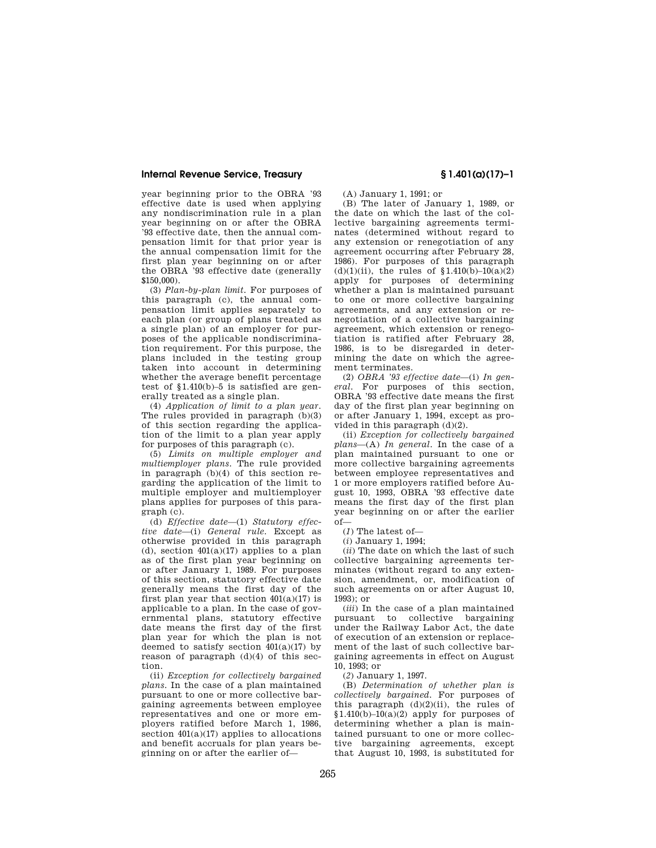year beginning prior to the OBRA '93 effective date is used when applying any nondiscrimination rule in a plan year beginning on or after the OBRA '93 effective date, then the annual compensation limit for that prior year is the annual compensation limit for the first plan year beginning on or after the OBRA '93 effective date (generally \$150,000).

(3) *Plan-by-plan limit.* For purposes of this paragraph (c), the annual compensation limit applies separately to each plan (or group of plans treated as a single plan) of an employer for purposes of the applicable nondiscrimination requirement. For this purpose, the plans included in the testing group taken into account in determining whether the average benefit percentage test of §1.410(b)–5 is satisfied are generally treated as a single plan.

(4) *Application of limit to a plan year.*  The rules provided in paragraph (b)(3) of this section regarding the application of the limit to a plan year apply for purposes of this paragraph (c).

(5) *Limits on multiple employer and multiemployer plans.* The rule provided in paragraph (b)(4) of this section regarding the application of the limit to multiple employer and multiemployer plans applies for purposes of this paragraph (c).

(d) *Effective date*—(1) *Statutory effective date*—(i) *General rule.* Except as otherwise provided in this paragraph (d), section  $401(a)(17)$  applies to a plan as of the first plan year beginning on or after January 1, 1989. For purposes of this section, statutory effective date generally means the first day of the first plan year that section  $401(a)(17)$  is applicable to a plan. In the case of governmental plans, statutory effective date means the first day of the first plan year for which the plan is not deemed to satisfy section  $401(a)(17)$  by reason of paragraph  $(d)(4)$  of this section.

(ii) *Exception for collectively bargained plans.* In the case of a plan maintained pursuant to one or more collective bargaining agreements between employee representatives and one or more employers ratified before March 1, 1986, section  $401(a)(17)$  applies to allocations and benefit accruals for plan years beginning on or after the earlier of—

(A) January 1, 1991; or

(B) The later of January 1, 1989, or the date on which the last of the collective bargaining agreements terminates (determined without regard to any extension or renegotiation of any agreement occurring after February 28, 1986). For purposes of this paragraph (d)(1)(ii), the rules of  $$1.410(b)-10(a)(2)$ apply for purposes of determining whether a plan is maintained pursuant to one or more collective bargaining agreements, and any extension or renegotiation of a collective bargaining agreement, which extension or renegotiation is ratified after February 28, 1986, is to be disregarded in determining the date on which the agreement terminates.

(2) *OBRA '93 effective date*—(i) *In general.* For purposes of this section, OBRA '93 effective date means the first day of the first plan year beginning on or after January 1, 1994, except as provided in this paragraph (d)(2).

(ii) *Exception for collectively bargained plans*—(A) *In general.* In the case of a plan maintained pursuant to one or more collective bargaining agreements between employee representatives and 1 or more employers ratified before August 10, 1993, OBRA '93 effective date means the first day of the first plan year beginning on or after the earlier of—

(*1*) The latest of—

(*i*) January 1, 1994;

(*ii*) The date on which the last of such collective bargaining agreements terminates (without regard to any extension, amendment, or, modification of such agreements on or after August 10, 1993); or

(*iii*) In the case of a plan maintained pursuant to collective bargaining under the Railway Labor Act, the date of execution of an extension or replacement of the last of such collective bargaining agreements in effect on August 10, 1993; or

(*2*) January 1, 1997.

(B) *Determination of whether plan is collectively bargained.* For purposes of this paragraph  $(d)(2)(ii)$ , the rules of  $$1.410(b)-10(a)(2)$  apply for purposes of determining whether a plan is maintained pursuant to one or more collective bargaining agreements, except that August 10, 1993, is substituted for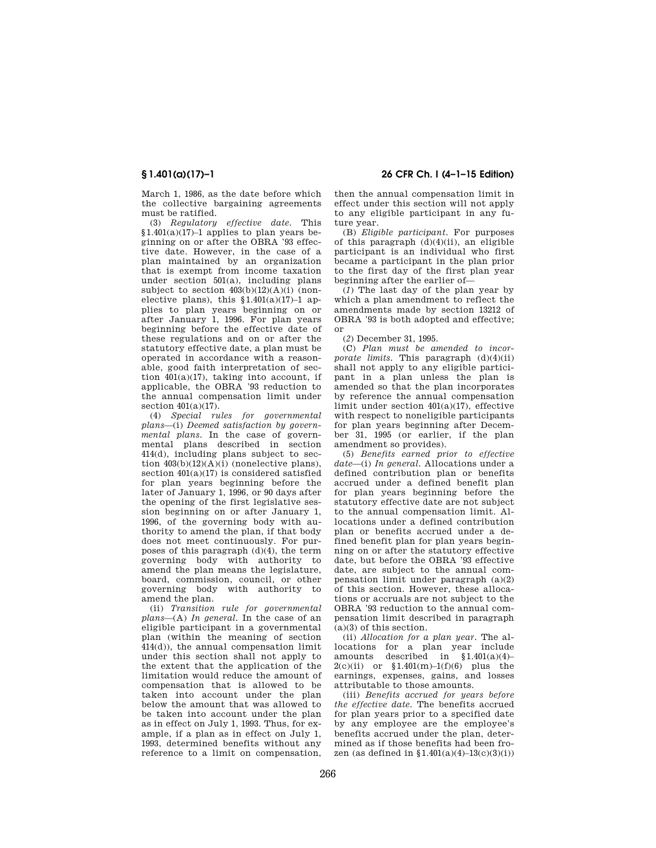March 1, 1986, as the date before which the collective bargaining agreements must be ratified.

(3) *Regulatory effective date.* This  $$1.401(a)(17)-1$  applies to plan years beginning on or after the OBRA '93 effective date. However, in the case of a plan maintained by an organization that is exempt from income taxation under section 501(a), including plans subject to section  $403(b)(12)(A)(i)$  (nonelective plans), this  $\frac{\S(1.401(a)(17)-1)}{2}$  applies to plan years beginning on or after January 1, 1996. For plan years beginning before the effective date of these regulations and on or after the statutory effective date, a plan must be operated in accordance with a reasonable, good faith interpretation of section  $401(a)(17)$ , taking into account, if applicable, the OBRA '93 reduction to the annual compensation limit under section  $401(a)(17)$ .

(4) *Special rules for governmental plans*—(i) *Deemed satisfaction by governmental plans.* In the case of governmental plans described in section 414(d), including plans subject to section  $403(b)(12)(A)(i)$  (nonelective plans), section 401(a)(17) is considered satisfied for plan years beginning before the later of January 1, 1996, or 90 days after the opening of the first legislative session beginning on or after January 1, 1996, of the governing body with authority to amend the plan, if that body does not meet continuously. For purposes of this paragraph (d)(4), the term governing body with authority to amend the plan means the legislature, board, commission, council, or other governing body with authority to amend the plan.

(ii) *Transition rule for governmental plans*—(A) *In general.* In the case of an eligible participant in a governmental plan (within the meaning of section 414(d)), the annual compensation limit under this section shall not apply to the extent that the application of the limitation would reduce the amount of compensation that is allowed to be taken into account under the plan below the amount that was allowed to be taken into account under the plan as in effect on July 1, 1993. Thus, for example, if a plan as in effect on July 1, 1993, determined benefits without any reference to a limit on compensation,

**§ 1.401(a)(17)–1 26 CFR Ch. I (4–1–15 Edition)** 

then the annual compensation limit in effect under this section will not apply to any eligible participant in any future year.

(B) *Eligible participant.* For purposes of this paragraph  $(d)(4)(ii)$ , an eligible participant is an individual who first became a participant in the plan prior to the first day of the first plan year beginning after the earlier of—

(*1*) The last day of the plan year by which a plan amendment to reflect the amendments made by section 13212 of OBRA '93 is both adopted and effective; or

(*2*) December 31, 1995.

(C) *Plan must be amended to incorporate limits.* This paragraph (d)(4)(ii) shall not apply to any eligible participant in a plan unless the plan is amended so that the plan incorporates by reference the annual compensation limit under section 401(a)(17), effective with respect to noneligible participants for plan years beginning after December 31, 1995 (or earlier, if the plan amendment so provides).

(5) *Benefits earned prior to effective date*—(i) *In general.* Allocations under a defined contribution plan or benefits accrued under a defined benefit plan for plan years beginning before the statutory effective date are not subject to the annual compensation limit. Allocations under a defined contribution plan or benefits accrued under a defined benefit plan for plan years beginning on or after the statutory effective date, but before the OBRA '93 effective date, are subject to the annual compensation limit under paragraph (a)(2) of this section. However, these allocations or accruals are not subject to the OBRA '93 reduction to the annual compensation limit described in paragraph (a)(3) of this section.

(ii) *Allocation for a plan year.* The allocations for a plan year include amounts described in §1.401(a)(4)–  $2(c)(ii)$  or  $$1.401(m)-1(f)(6)$  plus the earnings, expenses, gains, and losses attributable to those amounts.

(iii) *Benefits accrued for years before the effective date.* The benefits accrued for plan years prior to a specified date by any employee are the employee's benefits accrued under the plan, determined as if those benefits had been frozen (as defined in  $(1.401(a)(4)-13(c)(3)(i))$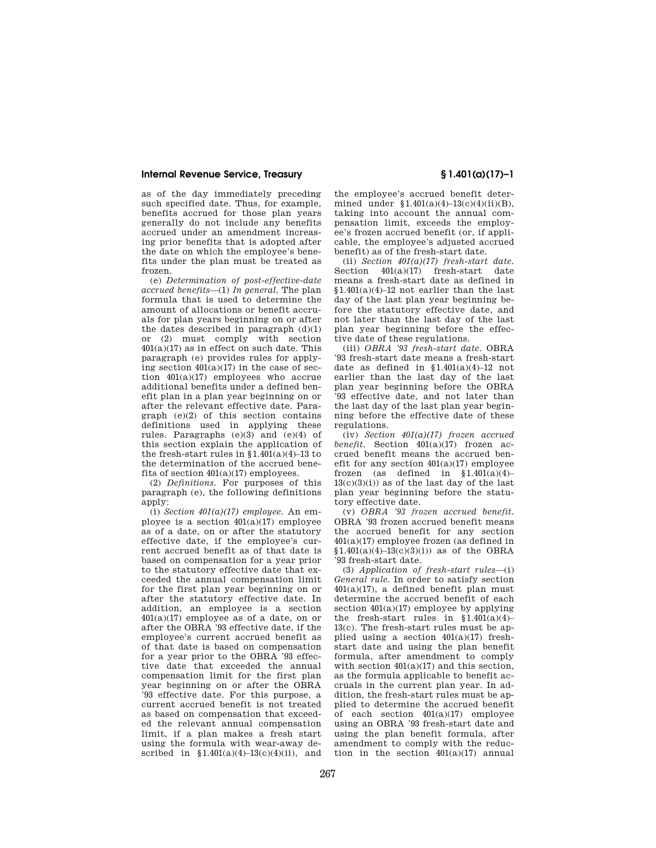as of the day immediately preceding such specified date. Thus, for example, benefits accrued for those plan years generally do not include any benefits accrued under an amendment increasing prior benefits that is adopted after the date on which the employee's benefits under the plan must be treated as frozen.

(e) *Determination of post-effective-date accrued benefits*—(1) *In general.* The plan formula that is used to determine the amount of allocations or benefit accruals for plan years beginning on or after the dates described in paragraph  $(d)(1)$ or (2) must comply with section  $401(a)(17)$  as in effect on such date. This paragraph (e) provides rules for applying section  $401(a)(17)$  in the case of section 401(a)(17) employees who accrue additional benefits under a defined benefit plan in a plan year beginning on or after the relevant effective date. Paragraph (e)(2) of this section contains definitions used in applying these rules. Paragraphs (e)(3) and (e)(4) of this section explain the application of the fresh-start rules in  $$1.401(a)(4)-13$  to the determination of the accrued benefits of section 401(a)(17) employees.

(2) *Definitions.* For purposes of this paragraph (e), the following definitions apply:

(i) *Section 401(a)(17) employee.* An employee is a section  $401(a)(17)$  employee as of a date, on or after the statutory effective date, if the employee's current accrued benefit as of that date is based on compensation for a year prior to the statutory effective date that exceeded the annual compensation limit for the first plan year beginning on or after the statutory effective date. In addition, an employee is a section 401(a)(17) employee as of a date, on or after the OBRA '93 effective date, if the employee's current accrued benefit as of that date is based on compensation for a year prior to the OBRA '93 effective date that exceeded the annual compensation limit for the first plan year beginning on or after the OBRA '93 effective date. For this purpose, a current accrued benefit is not treated as based on compensation that exceeded the relevant annual compensation limit, if a plan makes a fresh start using the formula with wear-away described in  $$1.401(a)(4)-13(c)(4)(ii)$ , and

the employee's accrued benefit determined under  $$1.401(a)(4)-13(c)(4)(ii)(B)$ , taking into account the annual compensation limit, exceeds the employee's frozen accrued benefit (or, if applicable, the employee's adjusted accrued benefit) as of the fresh-start date.

(ii) *Section 401(a)(17) fresh-start date.*  Section  $401(a)(17)$  fresh-start date means a fresh-start date as defined in  $$1.401(a)(4)-12$  not earlier than the last day of the last plan year beginning before the statutory effective date, and not later than the last day of the last plan year beginning before the effective date of these regulations.

(iii) *OBRA '93 fresh-start date.* OBRA '93 fresh-start date means a fresh-start date as defined in  $$1.401(a)(4)-12$  not earlier than the last day of the last plan year beginning before the OBRA '93 effective date, and not later than the last day of the last plan year beginning before the effective date of these regulations

(iv) *Section 401(a)(17) frozen accrued benefit.* Section 401(a)(17) frozen accrued benefit means the accrued benefit for any section  $401(a)(17)$  employee frozen (as defined in  $$1.401(a)(4)$ - $13(c)(3)(i)$  as of the last day of the last plan year beginning before the statutory effective date.

(v) *OBRA '93 frozen accrued benefit.*  OBRA '93 frozen accrued benefit means the accrued benefit for any section 401(a)(17) employee frozen (as defined in  $$1.401(a)(4)-13(c)(3)(i)$  as of the OBRA '93 fresh-start date.

(3) *Application of fresh-start rules*—(i) *General rule.* In order to satisfy section  $401(a)(17)$ , a defined benefit plan must determine the accrued benefit of each section  $401(a)(17)$  employee by applying the fresh-start rules in  $$1.401(a)(4)$ -13(c). The fresh-start rules must be applied using a section  $401(a)(17)$  freshstart date and using the plan benefit formula, after amendment to comply with section  $401(a)(17)$  and this section, as the formula applicable to benefit accruals in the current plan year. In addition, the fresh-start rules must be applied to determine the accrued benefit of each section 401(a)(17) employee using an OBRA '93 fresh-start date and using the plan benefit formula, after amendment to comply with the reduction in the section  $401(a)(17)$  annual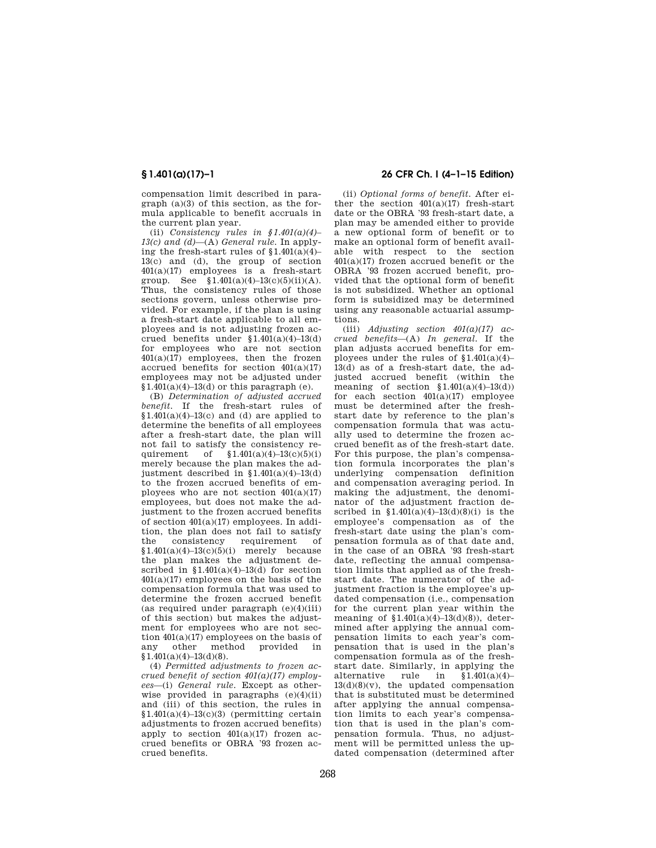compensation limit described in paragraph (a)(3) of this section, as the formula applicable to benefit accruals in the current plan year.

(ii) *Consistency rules in §1.401(a)(4)– 13(c) and (d)*—(A) *General rule.* In applying the fresh-start rules of  $$1.401(a)(4)$ - $13(c)$  and (d), the group of section 401(a)(17) employees is a fresh-start group. See  $$1.401(a)(4)-13(c)(5)(ii)(A)$ . Thus, the consistency rules of those sections govern, unless otherwise provided. For example, if the plan is using a fresh-start date applicable to all employees and is not adjusting frozen accrued benefits under  $$1.401(a)(4)-13(d)$ for employees who are not section 401(a)(17) employees, then the frozen accrued benefits for section  $401(a)(17)$ employees may not be adjusted under  $$1.401(a)(4)-13(d)$  or this paragraph (e).

(B) *Determination of adjusted accrued benefit.* If the fresh-start rules of  $$1.401(a)(4)-13(c)$  and (d) are applied to determine the benefits of all employees after a fresh-start date, the plan will not fail to satisfy the consistency requirement of  $$1.401(a)(4)-13(c)(5)(i)$ merely because the plan makes the adjustment described in  $$1.401(a)(4)-13(d)$ to the frozen accrued benefits of employees who are not section 401(a)(17) employees, but does not make the adjustment to the frozen accrued benefits of section 401(a)(17) employees. In addition, the plan does not fail to satisfy the consistency requirement of  $$1.401(a)(4)-13(c)(5)(i)$  merely because the plan makes the adjustment described in  $$1.401(a)(4)-13(d)$  for section 401(a)(17) employees on the basis of the compensation formula that was used to determine the frozen accrued benefit (as required under paragraph  $(e)(4)(iii)$ ) of this section) but makes the adjustment for employees who are not section 401(a)(17) employees on the basis of any other method provided in  $$1,401(a)(4)-13(d)(8)$ .

(4) *Permitted adjustments to frozen accrued benefit of section 401(a)(17) employees*—(i) *General rule.* Except as otherwise provided in paragraphs (e)(4)(ii) and (iii) of this section, the rules in  $$1.401(a)(4)-13(c)(3)$  (permitting certain adjustments to frozen accrued benefits) apply to section  $401(a)(17)$  frozen accrued benefits or OBRA '93 frozen accrued benefits.

# **§ 1.401(a)(17)–1 26 CFR Ch. I (4–1–15 Edition)**

(ii) *Optional forms of benefit.* After either the section  $401(a)(17)$  fresh-start date or the OBRA '93 fresh-start date, a plan may be amended either to provide a new optional form of benefit or to make an optional form of benefit available with respect to the section 401(a)(17) frozen accrued benefit or the OBRA '93 frozen accrued benefit, provided that the optional form of benefit is not subsidized. Whether an optional form is subsidized may be determined using any reasonable actuarial assumptions.

(iii) *Adjusting section 401(a)(17) accrued benefits*—(A) *In general.* If the plan adjusts accrued benefits for employees under the rules of  $$1.401(a)(4)$ -13(d) as of a fresh-start date, the adjusted accrued benefit (within the meaning of section  $$1.401(a)(4)-13(d))$ for each section  $401(a)(17)$  employee must be determined after the freshstart date by reference to the plan's compensation formula that was actually used to determine the frozen accrued benefit as of the fresh-start date. For this purpose, the plan's compensation formula incorporates the plan's underlying compensation definition and compensation averaging period. In making the adjustment, the denominator of the adjustment fraction described in  $$1.401(a)(4)-13(d)(8)(i)$  is the employee's compensation as of the fresh-start date using the plan's compensation formula as of that date and, in the case of an OBRA '93 fresh-start date, reflecting the annual compensation limits that applied as of the freshstart date. The numerator of the adjustment fraction is the employee's updated compensation (i.e., compensation for the current plan year within the meaning of  $$1.401(a)(4)-13(d)(8)$ , determined after applying the annual compensation limits to each year's compensation that is used in the plan's compensation formula as of the freshstart date. Similarly, in applying the alternative rule in  $\S 1.401(a)(4)$ in  $$1.401(a)(4)$ –  $13(d)(8)(v)$ , the updated compensation that is substituted must be determined after applying the annual compensation limits to each year's compensation that is used in the plan's compensation formula. Thus, no adjustment will be permitted unless the updated compensation (determined after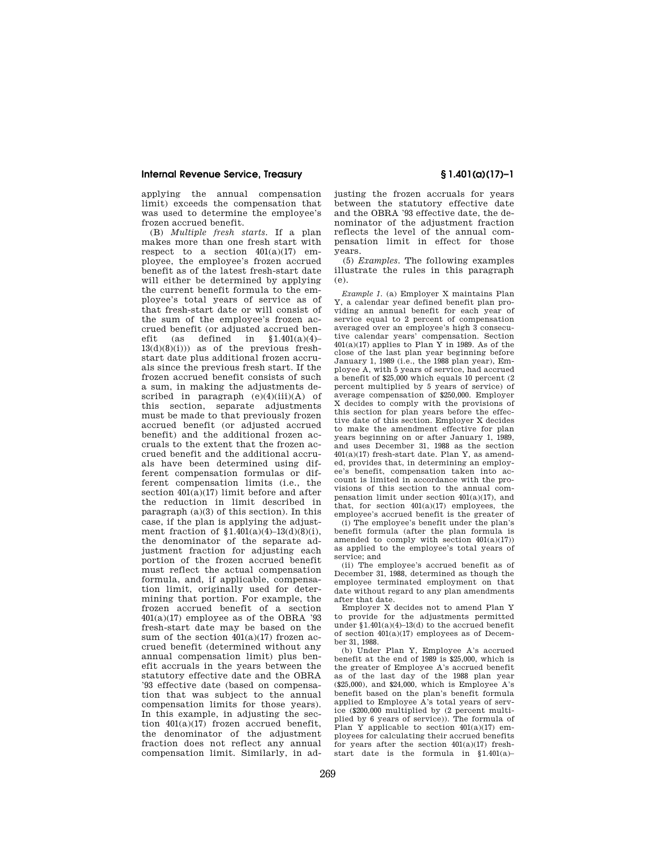applying the annual compensation limit) exceeds the compensation that was used to determine the employee's frozen accrued benefit.

(B) *Multiple fresh starts.* If a plan makes more than one fresh start with respect to a section  $401(a)(17)$  employee, the employee's frozen accrued benefit as of the latest fresh-start date will either be determined by applying the current benefit formula to the employee's total years of service as of that fresh-start date or will consist of the sum of the employee's frozen accrued benefit (or adjusted accrued benefit (as defined in  $$1.401(a)(4)$ - $13(d)(8(i))$  as of the previous freshstart date plus additional frozen accruals since the previous fresh start. If the frozen accrued benefit consists of such a sum, in making the adjustments described in paragraph  $(e)(4)(iii)(A)$  of this section, separate adjustments must be made to that previously frozen accrued benefit (or adjusted accrued benefit) and the additional frozen accruals to the extent that the frozen accrued benefit and the additional accruals have been determined using different compensation formulas or different compensation limits (i.e., the section 401(a)(17) limit before and after the reduction in limit described in paragraph (a)(3) of this section). In this case, if the plan is applying the adjustment fraction of §1.401(a)(4)–13(d)(8)(i), the denominator of the separate adjustment fraction for adjusting each portion of the frozen accrued benefit must reflect the actual compensation formula, and, if applicable, compensation limit, originally used for determining that portion. For example, the frozen accrued benefit of a section 401(a)(17) employee as of the OBRA '93 fresh-start date may be based on the sum of the section  $401(a)(17)$  frozen accrued benefit (determined without any annual compensation limit) plus benefit accruals in the years between the statutory effective date and the OBRA '93 effective date (based on compensation that was subject to the annual compensation limits for those years). In this example, in adjusting the section  $401(a)(17)$  frozen accrued benefit, the denominator of the adjustment fraction does not reflect any annual compensation limit. Similarly, in ad-

justing the frozen accruals for years between the statutory effective date and the OBRA '93 effective date, the denominator of the adjustment fraction reflects the level of the annual compensation limit in effect for those years.

(5) *Examples.* The following examples illustrate the rules in this paragraph (e).

*Example 1.* (a) Employer X maintains Plan Y, a calendar year defined benefit plan providing an annual benefit for each year of service equal to 2 percent of compensation averaged over an employee's high 3 consecutive calendar years' compensation. Section  $401(a)(17)$  applies to Plan Y in 1989. As of the close of the last plan year beginning before January 1, 1989 (i.e., the 1988 plan year), Employee A, with 5 years of service, had accrued a benefit of \$25,000 which equals 10 percent (2 percent multiplied by 5 years of service) of average compensation of \$250,000. Employer X decides to comply with the provisions of this section for plan years before the effective date of this section. Employer X decides to make the amendment effective for plan years beginning on or after January 1, 1989, and uses December 31, 1988 as the section 401(a)(17) fresh-start date. Plan Y, as amended, provides that, in determining an employee's benefit, compensation taken into account is limited in accordance with the provisions of this section to the annual compensation limit under section 401(a)(17), and that, for section  $401(a)(17)$  employees, the employee's accrued benefit is the greater of

(i) The employee's benefit under the plan's benefit formula (after the plan formula is amended to comply with section  $401(a)(17)$ as applied to the employee's total years of service; and

(ii) The employee's accrued benefit as of December 31, 1988, determined as though the employee terminated employment on that date without regard to any plan amendments after that date.

Employer X decides not to amend Plan Y to provide for the adjustments permitted under §1.401(a)(4)–13(d) to the accrued benefit of section 401(a)(17) employees as of December 31, 1988.

(b) Under Plan Y, Employee A's accrued benefit at the end of 1989 is \$25,000, which is the greater of Employee A's accrued benefit as of the last day of the 1988 plan year (\$25,000), and \$24,000, which is Employee A's benefit based on the plan's benefit formula applied to Employee A's total years of service (\$200,000 multiplied by (2 percent multiplied by 6 years of service)). The formula of Plan Y applicable to section  $401(a)(17)$  employees for calculating their accrued benefits for years after the section  $401(a)(17)$  freshstart date is the formula in §1.401(a)–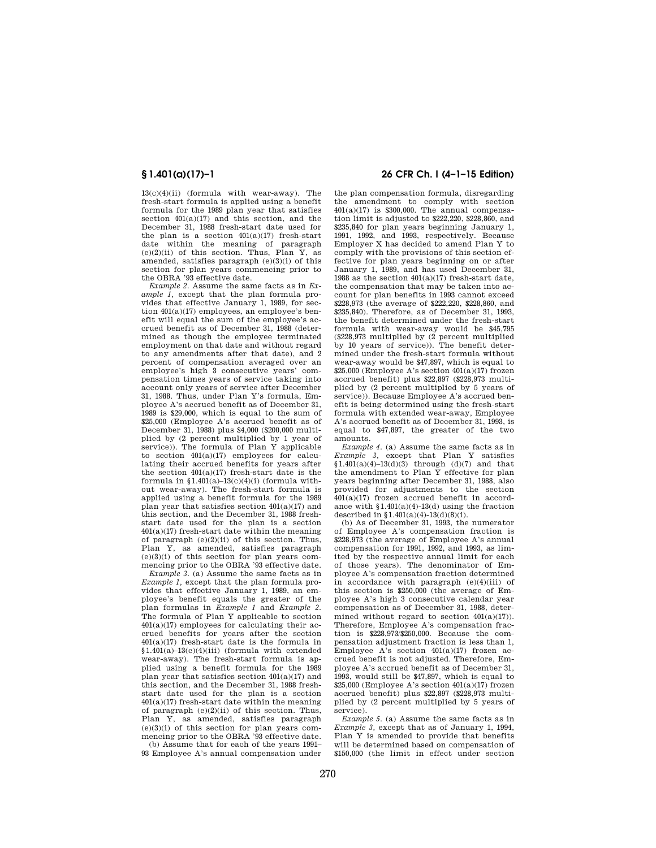13(c)(4)(ii) (formula with wear-away). The fresh-start formula is applied using a benefit formula for the 1989 plan year that satisfies section  $401(a)(17)$  and this section, and the December 31, 1988 fresh-start date used for the plan is a section  $401(a)(17)$  fresh-start date within the meaning of paragraph  $(e)(2)(ii)$  of this section. Thus, Plan Y, as amended, satisfies paragraph (e)(3)(i) of this section for plan years commencing prior to the OBRA '93 effective date.

*Example 2.* Assume the same facts as in *Example 1,* except that the plan formula provides that effective January 1, 1989, for section 401(a)(17) employees, an employee's benefit will equal the sum of the employee's accrued benefit as of December 31, 1988 (determined as though the employee terminated employment on that date and without regard to any amendments after that date), and 2 percent of compensation averaged over an employee's high 3 consecutive years' compensation times years of service taking into account only years of service after December 31, 1988. Thus, under Plan Y's formula, Employee A's accrued benefit as of December 31, 1989 is \$29,000, which is equal to the sum of \$25,000 (Employee A's accrued benefit as of December 31, 1988) plus \$4,000 (\$200,000 multiplied by (2 percent multiplied by 1 year of service)). The formula of Plan Y applicable to section 401(a)(17) employees for calculating their accrued benefits for years after the section  $401(a)(17)$  fresh-start date is the formula in  $$1.401(a)-13(c)(4)(i)$  (formula without wear-away). The fresh-start formula is applied using a benefit formula for the 1989 plan year that satisfies section 401(a)(17) and this section, and the December 31, 1988 freshstart date used for the plan is a section 401(a)(17) fresh-start date within the meaning of paragraph (e)(2)(ii) of this section. Thus, Plan Y, as amended, satisfies paragraph  $(e)(3)(i)$  of this section for plan years commencing prior to the OBRA '93 effective date.

*Example 3.* (a) Assume the same facts as in *Example 1,* except that the plan formula provides that effective January 1, 1989, an employee's benefit equals the greater of the plan formulas in *Example 1* and *Example 2.*  The formula of Plan Y applicable to section 401(a)(17) employees for calculating their accrued benefits for years after the section  $401(a)(17)$  fresh-start date is the formula in §1.401(a)–13(c)(4)(iii) (formula with extended wear-away). The fresh-start formula is applied using a benefit formula for the 1989 plan year that satisfies section 401(a)(17) and this section, and the December 31, 1988 freshstart date used for the plan is a section 401(a)(17) fresh-start date within the meaning of paragraph  $(e)(2)(ii)$  of this section. Thus, Plan Y, as amended, satisfies paragraph (e)(3)(i) of this section for plan years commencing prior to the OBRA '93 effective date.

(b) Assume that for each of the years 1991– 93 Employee A's annual compensation under

## **§ 1.401(a)(17)–1 26 CFR Ch. I (4–1–15 Edition)**

the plan compensation formula, disregarding the amendment to comply with section 401(a)(17) is \$300,000. The annual compensation limit is adjusted to \$222,220, \$228,860, and \$235,840 for plan years beginning January 1, 1991, 1992, and 1993, respectively. Because Employer X has decided to amend Plan Y to comply with the provisions of this section effective for plan years beginning on or after January 1, 1989, and has used December 31, 1988 as the section 401(a)(17) fresh-start date, the compensation that may be taken into account for plan benefits in 1993 cannot exceed \$228,973 (the average of \$222,220, \$228,860, and \$235,840). Therefore, as of December 31, 1993, the benefit determined under the fresh-start formula with wear-away would be \$45,795 (\$228,973 multiplied by (2 percent multiplied by 10 years of service)). The benefit determined under the fresh-start formula without wear-away would be \$47,897, which is equal to  $$25,000$  (Employee A's section  $401(a)(17)$  frozen accrued benefit) plus \$22,897 (\$228,973 multiplied by (2 percent multiplied by 5 years of service)). Because Employee A's accrued benefit is being determined using the fresh-start formula with extended wear-away, Employee A's accrued benefit as of December 31, 1993, is equal to \$47,897, the greater of the two amounts.

*Example 4.* (a) Assume the same facts as in *Example 3,* except that Plan Y satisfies  $$1.401(a)(4)-13(d)(3)$  through (d)(7) and that the amendment to Plan Y effective for plan years beginning after December 31, 1988, also provided for adjustments to the section 401(a)(17) frozen accrued benefit in accordance with §1.401(a)(4)-13(d) using the fraction described in  $$1.401(a)(4)-13(d)(8)(i)$ .

(b) As of December 31, 1993, the numerator of Employee A's compensation fraction is \$228,973 (the average of Employee A's annual compensation for 1991, 1992, and 1993, as limited by the respective annual limit for each of those years). The denominator of Employee A's compensation fraction determined in accordance with paragraph (e)(4)(iii) of this section is \$250,000 (the average of Employee A's high 3 consecutive calendar year compensation as of December 31, 1988, determined without regard to section  $401(a)(17)$ ). Therefore, Employee A's compensation fraction is \$228,973/\$250,000. Because the compensation adjustment fraction is less than 1, Employee A's section  $401(a)(17)$  frozen accrued benefit is not adjusted. Therefore, Employee A's accrued benefit as of December 31, 1993, would still be \$47,897, which is equal to  $$25,000$  (Employee A's section  $401(a)(17)$  frozen accrued benefit) plus \$22,897 (\$228,973 multiplied by (2 percent multiplied by 5 years of service).

*Example 5.* (a) Assume the same facts as in *Example 3,* except that as of January 1, 1994, Plan Y is amended to provide that benefits will be determined based on compensation of \$150,000 (the limit in effect under section